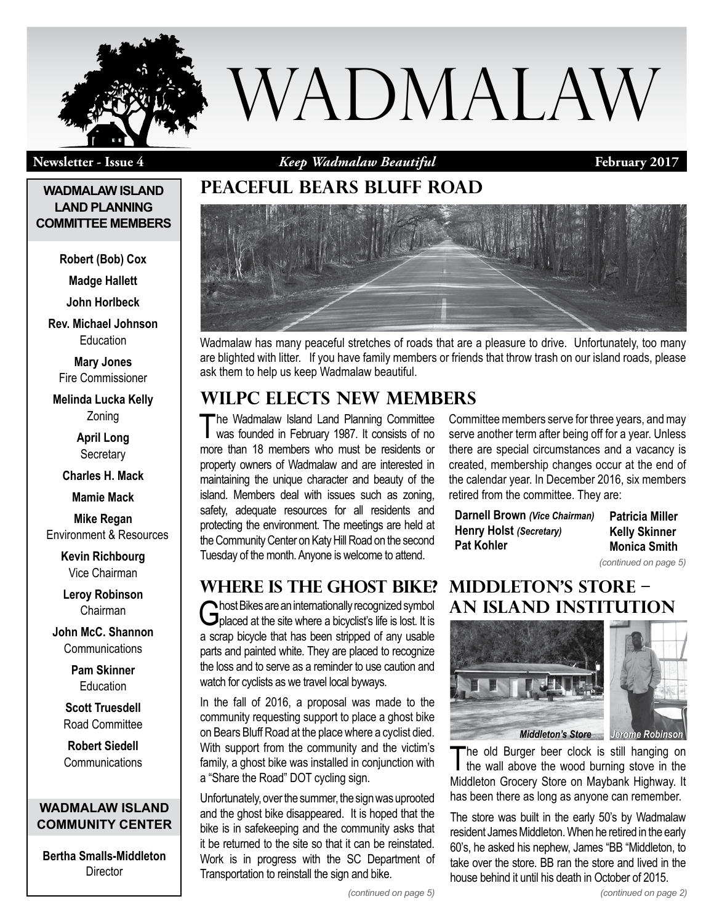

**Newsletter - Issue 4 February 2017** *Keep Wadmalaw Beautiful*

### **WADMALAW ISLAND LAND PLANNING COMMITTEE MEMBERS**

**Robert (Bob) Cox**

**Madge Hallett**

**John Horlbeck**

**Rev. Michael Johnson Education** 

**Mary Jones** Fire Commissioner

**Melinda Lucka Kelly** Zoning

> **April Long Secretary**

**Charles H. Mack**

**Mamie Mack**

**Mike Regan** Environment & Resources

> **Kevin Richbourg** Vice Chairman

**Leroy Robinson** Chairman

**John McC. Shannon Communications** 

> **Pam Skinner Education**

**Scott Truesdell** Road Committee

**Robert Siedell Communications** 

### **WADMALAW ISLAND COMMUNITY CENTER**

**Bertha Smalls-Middleton Director** 

# **Peaceful bears bluff road**



Wadmalaw has many peaceful stretches of roads that are a pleasure to drive. Unfortunately, too many are blighted with litter. If you have family members or friends that throw trash on our island roads, please ask them to help us keep Wadmalaw beautiful.

# **WILPC Elects New Members**

The Wadmalaw Island Land Planning Committee was founded in February 1987. It consists of no more than 18 members who must be residents or property owners of Wadmalaw and are interested in maintaining the unique character and beauty of the island. Members deal with issues such as zoning, safety, adequate resources for all residents and protecting the environment. The meetings are held at the Community Center on Katy Hill Road on the second Tuesday of the month. Anyone is welcome to attend.

Committee members serve for three years, and may serve another term after being off for a year. Unless there are special circumstances and a vacancy is created, membership changes occur at the end of the calendar year. In December 2016, six members retired from the committee. They are:

| Darnell Brown (Vice Chairman) | <b>Patricia Miller</b> |
|-------------------------------|------------------------|
| Henry Holst (Secretary)       | <b>Kelly Skinner</b>   |
| <b>Pat Kohler</b>             | <b>Monica Smith</b>    |

*(continued on page 5)*

### **Where is the Ghost Bike?**

Ghost Bikes are an internationally recognized symbol Gplaced at the site where a bicyclist's life is lost. It is a scrap bicycle that has been stripped of any usable parts and painted white. They are placed to recognize the loss and to serve as a reminder to use caution and watch for cyclists as we travel local byways.

In the fall of 2016, a proposal was made to the community requesting support to place a ghost bike on Bears Bluff Road at the place where a cyclist died. With support from the community and the victim's family, a ghost bike was installed in conjunction with a "Share the Road" DOT cycling sign.

Unfortunately, over the summer, the sign was uprooted and the ghost bike disappeared. It is hoped that the bike is in safekeeping and the community asks that it be returned to the site so that it can be reinstated. Work is in progress with the SC Department of Transportation to reinstall the sign and bike.

### **Middleton's Store – An Island Institution**



The old Burger beer clock is still hanging on the wall above the wood burning stove in the Middleton Grocery Store on Maybank Highway. It has been there as long as anyone can remember.

The store was built in the early 50's by Wadmalaw resident James Middleton. When he retired in the early 60's, he asked his nephew, James "BB "Middleton, to take over the store. BB ran the store and lived in the house behind it until his death in October of 2015.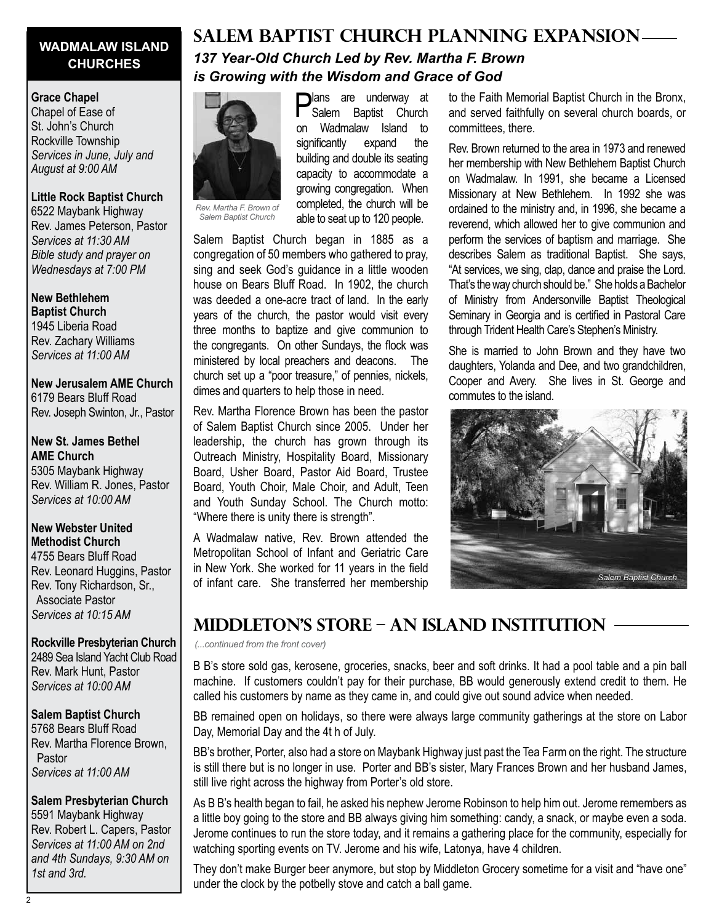### **WADMALAW ISLAND CHURCHES**

#### **Grace Chapel**

Chapel of Ease of St. John's Church Rockville Township *Services in June, July and August at 9:00 AM*

#### **Little Rock Baptist Church** 6522 Maybank Highway

Rev. James Peterson, Pastor *Services at 11:30 AM Bible study and prayer on Wednesdays at 7:00 PM*

**New Bethlehem Baptist Church** 1945 Liberia Road Rev. Zachary Williams *Services at 11:00 AM*

**New Jerusalem AME Church** 6179 Bears Bluff Road Rev. Joseph Swinton, Jr., Pastor

**New St. James Bethel AME Church** 5305 Maybank Highway Rev. William R. Jones, Pastor *Services at 10:00 AM*

### **New Webster United Methodist Church**

4755 Bears Bluff Road Rev. Leonard Huggins, Pastor Rev. Tony Richardson, Sr., Associate Pastor *Services at 10:15 AM*

### **Rockville Presbyterian Church**

2489 Sea Island Yacht Club Road Rev. Mark Hunt, Pastor *Services at 10:00 AM*

### **Salem Baptist Church**

5768 Bears Bluff Road Rev. Martha Florence Brown, Pastor *Services at 11:00 AM*

### **Salem Presbyterian Church**

5591 Maybank Highway Rev. Robert L. Capers, Pastor *Services at 11:00 AM on 2nd and 4th Sundays, 9:30 AM on 1st and 3rd.*

### **SALEM BAPTIST CHURCH PLANNING EXPANSION** *137 Year-Old Church Led by Rev. Martha F. Brown is Growing with the Wisdom and Grace of God*



*Salem Baptist Church*

**Plans** are underway at Salem Baptist Church on Wadmalaw Island to significantly expand the building and double its seating capacity to accommodate a growing congregation. When completed, the church will be able to seat up to 120 people.

Salem Baptist Church began in 1885 as a congregation of 50 members who gathered to pray, sing and seek God's guidance in a little wooden house on Bears Bluff Road. In 1902, the church was deeded a one-acre tract of land. In the early years of the church, the pastor would visit every three months to baptize and give communion to the congregants. On other Sundays, the flock was ministered by local preachers and deacons. The church set up a "poor treasure," of pennies, nickels, dimes and quarters to help those in need.

Rev. Martha Florence Brown has been the pastor of Salem Baptist Church since 2005. Under her leadership, the church has grown through its Outreach Ministry, Hospitality Board, Missionary Board, Usher Board, Pastor Aid Board, Trustee Board, Youth Choir, Male Choir, and Adult, Teen and Youth Sunday School. The Church motto: "Where there is unity there is strength".

A Wadmalaw native, Rev. Brown attended the Metropolitan School of Infant and Geriatric Care in New York. She worked for 11 years in the field of infant care. She transferred her membership to the Faith Memorial Baptist Church in the Bronx, and served faithfully on several church boards, or committees, there.

Rev. Brown returned to the area in 1973 and renewed her membership with New Bethlehem Baptist Church on Wadmalaw. In 1991, she became a Licensed Missionary at New Bethlehem. In 1992 she was ordained to the ministry and, in 1996, she became a reverend, which allowed her to give communion and perform the services of baptism and marriage. She describes Salem as traditional Baptist. She says, "At services, we sing, clap, dance and praise the Lord. That's the way church should be." She holds a Bachelor of Ministry from Andersonville Baptist Theological Seminary in Georgia and is certified in Pastoral Care through Trident Health Care's Stephen's Ministry.

She is married to John Brown and they have two daughters, Yolanda and Dee, and two grandchildren, Cooper and Avery. She lives in St. George and commutes to the island.



### **Middleton's Store – An Island Institution**

*(...continued from the front cover)*

B B's store sold gas, kerosene, groceries, snacks, beer and soft drinks. It had a pool table and a pin ball machine. If customers couldn't pay for their purchase, BB would generously extend credit to them. He called his customers by name as they came in, and could give out sound advice when needed.

BB remained open on holidays, so there were always large community gatherings at the store on Labor Day, Memorial Day and the 4t h of July.

BB's brother, Porter, also had a store on Maybank Highway just past the Tea Farm on the right. The structure is still there but is no longer in use. Porter and BB's sister, Mary Frances Brown and her husband James, still live right across the highway from Porter's old store.

As B B's health began to fail, he asked his nephew Jerome Robinson to help him out. Jerome remembers as a little boy going to the store and BB always giving him something: candy, a snack, or maybe even a soda. Jerome continues to run the store today, and it remains a gathering place for the community, especially for watching sporting events on TV. Jerome and his wife, Latonya, have 4 children.

They don't make Burger beer anymore, but stop by Middleton Grocery sometime for a visit and "have one" under the clock by the potbelly stove and catch a ball game.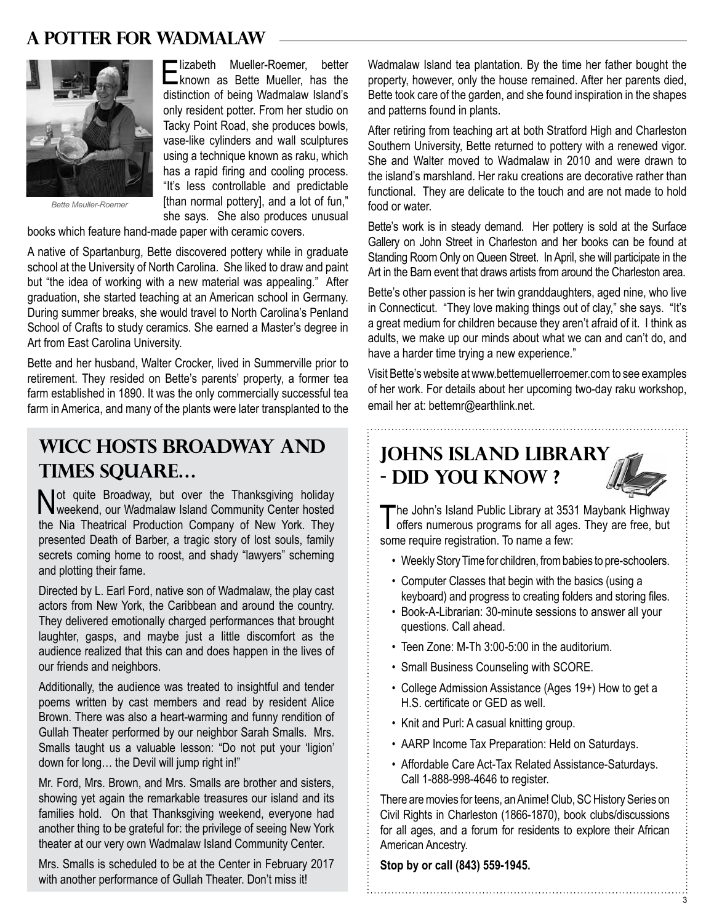### **A Potter for Wadmalaw**



Elizabeth Mueller-Roemer, better known as Bette Mueller, has the distinction of being Wadmalaw Island's only resident potter. From her studio on Tacky Point Road, she produces bowls, vase-like cylinders and wall sculptures using a technique known as raku, which has a rapid firing and cooling process. "It's less controllable and predictable [than normal pottery], and a lot of fun," she says. She also produces unusual

*Bette Meuller-Roemer*

books which feature hand-made paper with ceramic covers.

A native of Spartanburg, Bette discovered pottery while in graduate school at the University of North Carolina. She liked to draw and paint but "the idea of working with a new material was appealing." After graduation, she started teaching at an American school in Germany. During summer breaks, she would travel to North Carolina's Penland School of Crafts to study ceramics. She earned a Master's degree in Art from East Carolina University.

Bette and her husband, Walter Crocker, lived in Summerville prior to retirement. They resided on Bette's parents' property, a former tea farm established in 1890. It was the only commercially successful tea farm in America, and many of the plants were later transplanted to the

# **WICC Hosts Broadway and Times Square…**

Not quite Broadway, but over the Thanksgiving holiday weekend, our Wadmalaw Island Community Center hosted the Nia Theatrical Production Company of New York. They presented Death of Barber, a tragic story of lost souls, family secrets coming home to roost, and shady "lawyers" scheming and plotting their fame.

Directed by L. Earl Ford, native son of Wadmalaw, the play cast actors from New York, the Caribbean and around the country. They delivered emotionally charged performances that brought laughter, gasps, and maybe just a little discomfort as the audience realized that this can and does happen in the lives of our friends and neighbors.

Additionally, the audience was treated to insightful and tender poems written by cast members and read by resident Alice Brown. There was also a heart-warming and funny rendition of Gullah Theater performed by our neighbor Sarah Smalls. Mrs. Smalls taught us a valuable lesson: "Do not put your 'ligion' down for long… the Devil will jump right in!"

Mr. Ford, Mrs. Brown, and Mrs. Smalls are brother and sisters, showing yet again the remarkable treasures our island and its families hold. On that Thanksgiving weekend, everyone had another thing to be grateful for: the privilege of seeing New York theater at our very own Wadmalaw Island Community Center.

Mrs. Smalls is scheduled to be at the Center in February 2017 with another performance of Gullah Theater. Don't miss it!

Wadmalaw Island tea plantation. By the time her father bought the property, however, only the house remained. After her parents died, Bette took care of the garden, and she found inspiration in the shapes and patterns found in plants.

After retiring from teaching art at both Stratford High and Charleston Southern University, Bette returned to pottery with a renewed vigor. She and Walter moved to Wadmalaw in 2010 and were drawn to the island's marshland. Her raku creations are decorative rather than functional. They are delicate to the touch and are not made to hold food or water.

Bette's work is in steady demand. Her pottery is sold at the Surface Gallery on John Street in Charleston and her books can be found at Standing Room Only on Queen Street. In April, she will participate in the Art in the Barn event that draws artists from around the Charleston area.

Bette's other passion is her twin granddaughters, aged nine, who live in Connecticut. "They love making things out of clay," she says. "It's a great medium for children because they aren't afraid of it. I think as adults, we make up our minds about what we can and can't do, and have a harder time trying a new experience."

Visit Bette's website at www.bettemuellerroemer.com to see examples of her work. For details about her upcoming two-day raku workshop, email her at: bettemr@earthlink.net.

## **Johns Island Library - Did you know ?**



3

The John's Island Public Library at 3531 Maybank Highway<br>offers numerous programs for all ages. They are free, but some require registration. To name a few:

- Weekly Story Time for children, from babies to pre-schoolers.
- Computer Classes that begin with the basics (using a keyboard) and progress to creating folders and storing files.
- Book-A-Librarian: 30-minute sessions to answer all your questions. Call ahead.
- Teen Zone: M-Th 3:00-5:00 in the auditorium.
- Small Business Counseling with SCORE.
- College Admission Assistance (Ages 19+) How to get a H.S. certificate or GED as well.
- Knit and Purl: A casual knitting group.
- AARP Income Tax Preparation: Held on Saturdays.
- Affordable Care Act-Tax Related Assistance-Saturdays. Call 1-888-998-4646 to register.

There are movies for teens, an Anime! Club, SC History Series on Civil Rights in Charleston (1866-1870), book clubs/discussions for all ages, and a forum for residents to explore their African American Ancestry.

**Stop by or call (843) 559-1945.**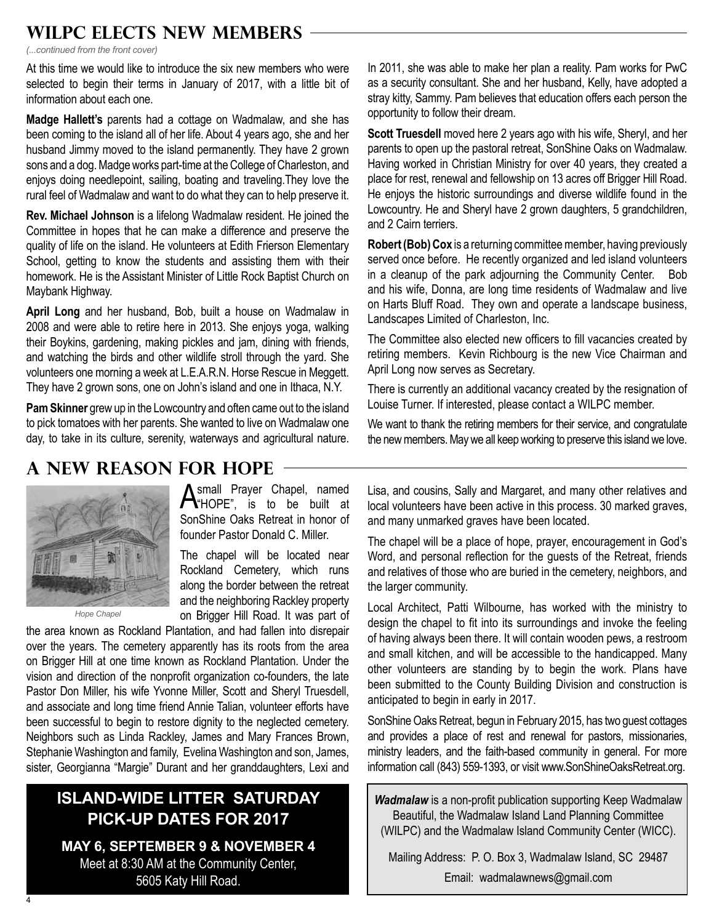## **WILPC Elects New Members**

*(...continued from the front cover)*

At this time we would like to introduce the six new members who were selected to begin their terms in January of 2017, with a little bit of information about each one.

**Madge Hallett's** parents had a cottage on Wadmalaw, and she has been coming to the island all of her life. About 4 years ago, she and her husband Jimmy moved to the island permanently. They have 2 grown sons and a dog. Madge works part-time at the College of Charleston, and enjoys doing needlepoint, sailing, boating and traveling.They love the rural feel of Wadmalaw and want to do what they can to help preserve it.

**Rev. Michael Johnson** is a lifelong Wadmalaw resident. He joined the Committee in hopes that he can make a difference and preserve the quality of life on the island. He volunteers at Edith Frierson Elementary School, getting to know the students and assisting them with their homework. He is the Assistant Minister of Little Rock Baptist Church on Maybank Highway.

**April Long** and her husband, Bob, built a house on Wadmalaw in 2008 and were able to retire here in 2013. She enjoys yoga, walking their Boykins, gardening, making pickles and jam, dining with friends, and watching the birds and other wildlife stroll through the yard. She volunteers one morning a week at L.E.A.R.N. Horse Rescue in Meggett. They have 2 grown sons, one on John's island and one in Ithaca, N.Y.

**Pam Skinner** grew up in the Lowcountry and often came out to the island to pick tomatoes with her parents. She wanted to live on Wadmalaw one day, to take in its culture, serenity, waterways and agricultural nature.

In 2011, she was able to make her plan a reality. Pam works for PwC as a security consultant. She and her husband, Kelly, have adopted a stray kitty, Sammy. Pam believes that education offers each person the opportunity to follow their dream.

**Scott Truesdell** moved here 2 years ago with his wife, Sheryl, and her parents to open up the pastoral retreat, SonShine Oaks on Wadmalaw. Having worked in Christian Ministry for over 40 years, they created a place for rest, renewal and fellowship on 13 acres off Brigger Hill Road. He enjoys the historic surroundings and diverse wildlife found in the Lowcountry. He and Sheryl have 2 grown daughters, 5 grandchildren, and 2 Cairn terriers.

**Robert (Bob) Cox** is a returning committee member, having previously served once before. He recently organized and led island volunteers in a cleanup of the park adjourning the Community Center. Bob and his wife, Donna, are long time residents of Wadmalaw and live on Harts Bluff Road. They own and operate a landscape business, Landscapes Limited of Charleston, Inc.

The Committee also elected new officers to fill vacancies created by retiring members. Kevin Richbourg is the new Vice Chairman and April Long now serves as Secretary.

There is currently an additional vacancy created by the resignation of Louise Turner. If interested, please contact a WILPC member.

We want to thank the retiring members for their service, and congratulate the new members. May we all keep working to preserve this island we love.

# **A New Reason for Hope**



*Hope Chapel*

**A** small Prayer Chapel, named  $\bigwedge$  HOPE", is to be built at SonShine Oaks Retreat in honor of founder Pastor Donald C. Miller.

The chapel will be located near Rockland Cemetery, which runs along the border between the retreat and the neighboring Rackley property on Brigger Hill Road. It was part of

the area known as Rockland Plantation, and had fallen into disrepair over the years. The cemetery apparently has its roots from the area on Brigger Hill at one time known as Rockland Plantation. Under the vision and direction of the nonprofit organization co-founders, the late Pastor Don Miller, his wife Yvonne Miller, Scott and Sheryl Truesdell, and associate and long time friend Annie Talian, volunteer efforts have been successful to begin to restore dignity to the neglected cemetery. Neighbors such as Linda Rackley, James and Mary Frances Brown, Stephanie Washington and family, Evelina Washington and son, James, sister, Georgianna "Margie" Durant and her granddaughters, Lexi and

### **Island-wide Litter Saturday Pick-up Dates for 2017**

**May 6, September 9 & November 4** Meet at 8:30 AM at the Community Center, 5605 Katy Hill Road.

Lisa, and cousins, Sally and Margaret, and many other relatives and local volunteers have been active in this process. 30 marked graves, and many unmarked graves have been located.

The chapel will be a place of hope, prayer, encouragement in God's Word, and personal reflection for the guests of the Retreat, friends and relatives of those who are buried in the cemetery, neighbors, and the larger community.

Local Architect, Patti Wilbourne, has worked with the ministry to design the chapel to fit into its surroundings and invoke the feeling of having always been there. It will contain wooden pews, a restroom and small kitchen, and will be accessible to the handicapped. Many other volunteers are standing by to begin the work. Plans have been submitted to the County Building Division and construction is anticipated to begin in early in 2017.

SonShine Oaks Retreat, begun in February 2015, has two guest cottages and provides a place of rest and renewal for pastors, missionaries, ministry leaders, and the faith-based community in general. For more information call (843) 559-1393, or visit www.SonShineOaksRetreat.org.

*Wadmalaw* is a non-profit publication supporting Keep Wadmalaw Beautiful, the Wadmalaw Island Land Planning Committee (WILPC) and the Wadmalaw Island Community Center (WICC).

Mailing Address: P. O. Box 3, Wadmalaw Island, SC 29487 Email: wadmalawnews@gmail.com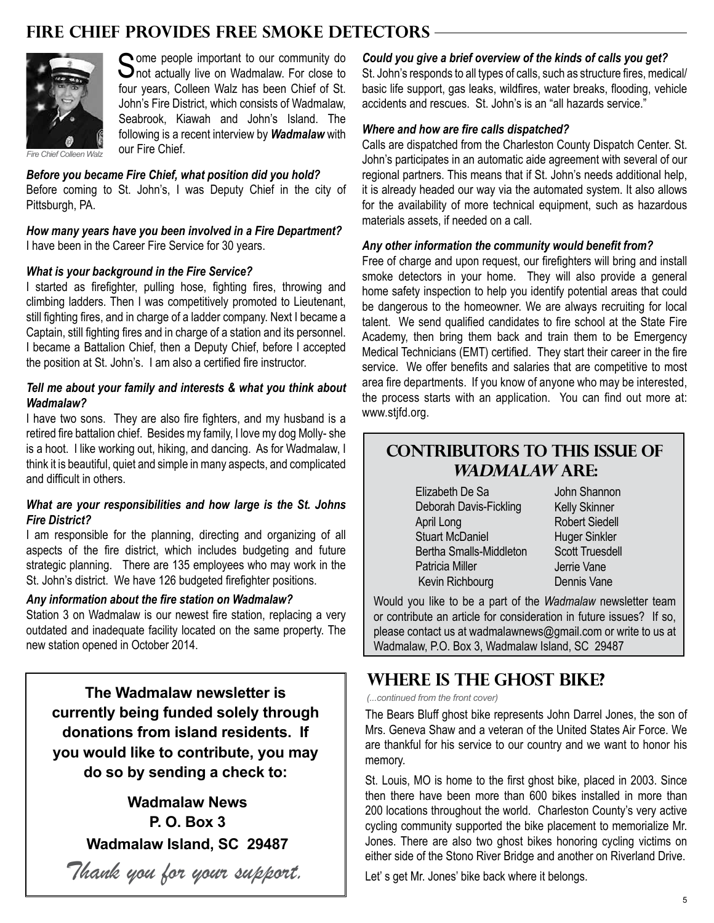### **Fire Chief provides Free Smoke Detectors**



Some people important to our community do<br>
Some actually live on Wadmalaw. For close to four years, Colleen Walz has been Chief of St. John's Fire District, which consists of Wadmalaw, Seabrook, Kiawah and John's Island. The following is a recent interview by *Wadmalaw* with our Fire Chief

*Fire Chief Colleen Walz*

*Before you became Fire Chief, what position did you hold?* Before coming to St. John's, I was Deputy Chief in the city of Pittsburgh, PA.

*How many years have you been involved in a Fire Department?* I have been in the Career Fire Service for 30 years.

#### *What is your background in the Fire Service?*

I started as firefighter, pulling hose, fighting fires, throwing and climbing ladders. Then I was competitively promoted to Lieutenant, still fighting fires, and in charge of a ladder company. Next I became a Captain, still fighting fires and in charge of a station and its personnel. I became a Battalion Chief, then a Deputy Chief, before I accepted the position at St. John's. I am also a certified fire instructor.

#### *Tell me about your family and interests & what you think about Wadmalaw?*

I have two sons. They are also fire fighters, and my husband is a retired fire battalion chief. Besides my family, I love my dog Molly- she is a hoot. I like working out, hiking, and dancing. As for Wadmalaw, I think it is beautiful, quiet and simple in many aspects, and complicated and difficult in others.

#### *What are your responsibilities and how large is the St. Johns Fire District?*

I am responsible for the planning, directing and organizing of all aspects of the fire district, which includes budgeting and future strategic planning. There are 135 employees who may work in the St. John's district. We have 126 budgeted firefighter positions.

#### *Any information about the fire station on Wadmalaw?*

Station 3 on Wadmalaw is our newest fire station, replacing a very outdated and inadequate facility located on the same property. The new station opened in October 2014.

**The Wadmalaw newsletter is currently being funded solely through donations from island residents. If you would like to contribute, you may do so by sending a check to:** 

> **Wadmalaw News P. O. Box 3 Wadmalaw Island, SC 29487**

*Thank you for your support.*

#### *Could you give a brief overview of the kinds of calls you get?*

St. John's responds to all types of calls, such as structure fires, medical/ basic life support, gas leaks, wildfires, water breaks, flooding, vehicle accidents and rescues. St. John's is an "all hazards service."

#### *Where and how are fire calls dispatched?*

Calls are dispatched from the Charleston County Dispatch Center. St. John's participates in an automatic aide agreement with several of our regional partners. This means that if St. John's needs additional help, it is already headed our way via the automated system. It also allows for the availability of more technical equipment, such as hazardous materials assets, if needed on a call.

#### *Any other information the community would benefit from?*

Free of charge and upon request, our firefighters will bring and install smoke detectors in your home. They will also provide a general home safety inspection to help you identify potential areas that could be dangerous to the homeowner. We are always recruiting for local talent. We send qualified candidates to fire school at the State Fire Academy, then bring them back and train them to be Emergency Medical Technicians (EMT) certified. They start their career in the fire service. We offer benefits and salaries that are competitive to most area fire departments. If you know of anyone who may be interested, the process starts with an application. You can find out more at: www.stifd.org.

### **Contributors to this issue of Wadmalaw are:**

 Elizabeth De Sa Deborah Davis-Fickling April Long Stuart McDaniel Bertha Smalls-Middleton Patricia Miller Kevin Richbourg

John Shannon Kelly Skinner Robert Siedell Huger Sinkler Scott Truesdell Jerrie Vane Dennis Vane

Would you like to be a part of the *Wadmalaw* newsletter team or contribute an article for consideration in future issues? If so, please contact us at wadmalawnews@gmail.com or write to us at Wadmalaw, P.O. Box 3, Wadmalaw Island, SC 29487

### **Where is the Ghost Bike?**

*(...continued from the front cover)*

The Bears Bluff ghost bike represents John Darrel Jones, the son of Mrs. Geneva Shaw and a veteran of the United States Air Force. We are thankful for his service to our country and we want to honor his memory.

St. Louis, MO is home to the first ghost bike, placed in 2003. Since then there have been more than 600 bikes installed in more than 200 locations throughout the world. Charleston County's very active cycling community supported the bike placement to memorialize Mr. Jones. There are also two ghost bikes honoring cycling victims on either side of the Stono River Bridge and another on Riverland Drive.

Let' s get Mr. Jones' bike back where it belongs.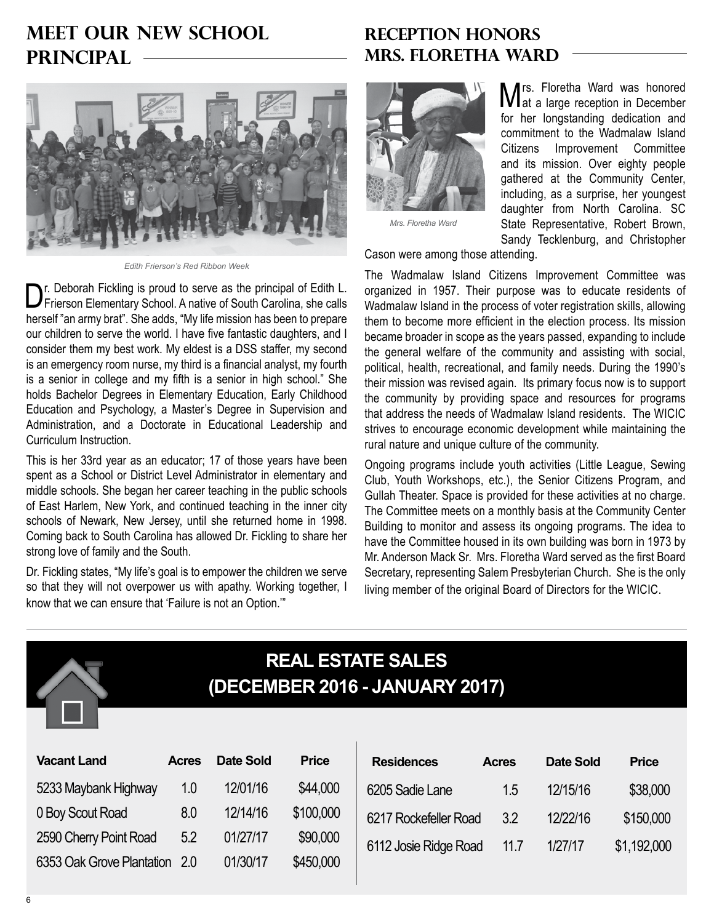# **Meet our New School Principal**



*Edith Frierson's Red Ribbon Week*

Dr. Deborah Fickling is proud to serve as the principal of Edith L. Frierson Elementary School. A native of South Carolina, she calls herself "an army brat". She adds, "My life mission has been to prepare our children to serve the world. I have five fantastic daughters, and I consider them my best work. My eldest is a DSS staffer, my second is an emergency room nurse, my third is a financial analyst, my fourth is a senior in college and my fifth is a senior in high school." She holds Bachelor Degrees in Elementary Education, Early Childhood Education and Psychology, a Master's Degree in Supervision and Administration, and a Doctorate in Educational Leadership and Curriculum Instruction.

This is her 33rd year as an educator; 17 of those years have been spent as a School or District Level Administrator in elementary and middle schools. She began her career teaching in the public schools of East Harlem, New York, and continued teaching in the inner city schools of Newark, New Jersey, until she returned home in 1998. Coming back to South Carolina has allowed Dr. Fickling to share her strong love of family and the South.

Dr. Fickling states, "My life's goal is to empower the children we serve so that they will not overpower us with apathy. Working together, I know that we can ensure that 'Failure is not an Option.'"

### **Reception Honors Mrs. Floretha Ward**



*Mrs. Floretha Ward*

Mrs. Floretha Ward was honored at a large reception in December for her longstanding dedication and commitment to the Wadmalaw Island Citizens Improvement Committee and its mission. Over eighty people gathered at the Community Center, including, as a surprise, her youngest daughter from North Carolina. SC State Representative, Robert Brown, Sandy Tecklenburg, and Christopher

Cason were among those attending.

The Wadmalaw Island Citizens Improvement Committee was organized in 1957. Their purpose was to educate residents of Wadmalaw Island in the process of voter registration skills, allowing them to become more efficient in the election process. Its mission became broader in scope as the years passed, expanding to include the general welfare of the community and assisting with social, political, health, recreational, and family needs. During the 1990's their mission was revised again. Its primary focus now is to support the community by providing space and resources for programs that address the needs of Wadmalaw Island residents. The WICIC strives to encourage economic development while maintaining the rural nature and unique culture of the community.

Ongoing programs include youth activities (Little League, Sewing Club, Youth Workshops, etc.), the Senior Citizens Program, and Gullah Theater. Space is provided for these activities at no charge. The Committee meets on a monthly basis at the Community Center Building to monitor and assess its ongoing programs. The idea to have the Committee housed in its own building was born in 1973 by Mr. Anderson Mack Sr. Mrs. Floretha Ward served as the first Board Secretary, representing Salem Presbyterian Church. She is the only living member of the original Board of Directors for the WICIC.



# **Real Estate Sales (December 2016 - January 2017)**

| <b>Vacant Land</b>            | <b>Acres</b> | <b>Date Sold</b> | <b>Price</b> | <b>Residences</b>     | <b>Acres</b> | <b>Date Sold</b> | <b>Price</b> |
|-------------------------------|--------------|------------------|--------------|-----------------------|--------------|------------------|--------------|
| 5233 Maybank Highway          | 1.0          | 12/01/16         | \$44,000     | 6205 Sadie Lane       | 1.5          | 12/15/16         | \$38,000     |
| 0 Boy Scout Road              | 8.0          | 12/14/16         | \$100,000    | 6217 Rockefeller Road | 3.2          | 12/22/16         | \$150,000    |
| 2590 Cherry Point Road        | 5.2          | 01/27/17         | \$90,000     | 6112 Josie Ridge Road | 11.7         | 1/27/17          | \$1,192,000  |
| 6353 Oak Grove Plantation 2.0 |              | 01/30/17         | \$450,000    |                       |              |                  |              |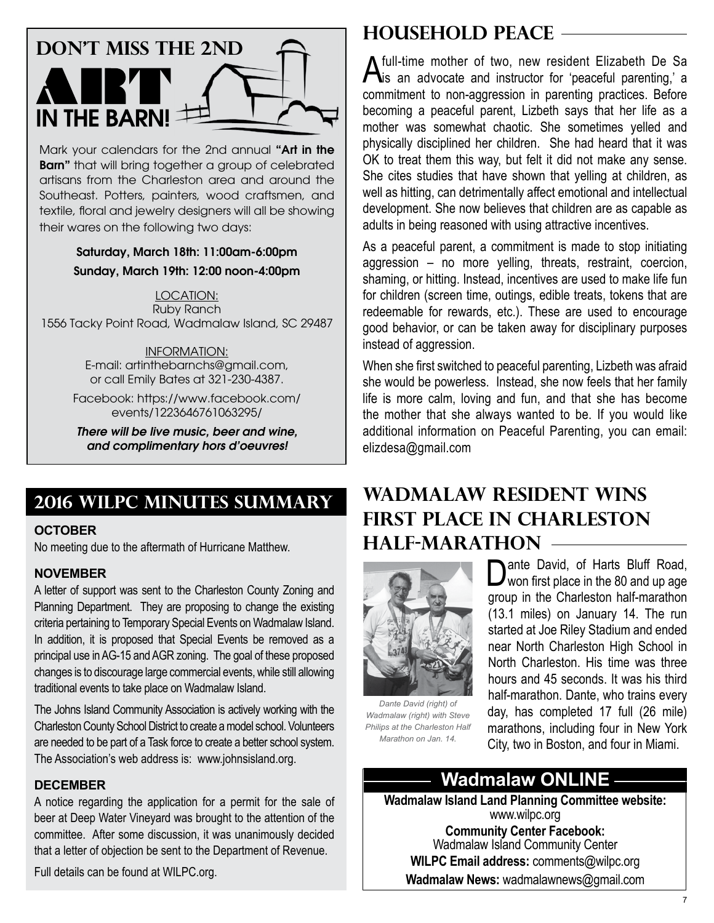

Mark your calendars for the 2nd annual "Art in the **Barn**" that will bring together a group of celebrated artisans from the Charleston area and around the Southeast. Potters, painters, wood craftsmen, and textile, floral and jewelry designers will all be showing their wares on the following two days:

> Saturday, March 18th: 11:00am-6:00pm Sunday, March 19th: 12:00 noon-4:00pm

Location: Ruby Ranch 1556 Tacky Point Road, Wadmalaw Island, SC 29487

> Information: E-mail: artinthebarnchs@gmail.com, or call Emily Bates at 321-230-4387.

Facebook: https://www.facebook.com/ events/1223646761063295/

*There will be live music, beer and wine, and complimentary hors d'oeuvres!*

## **2016 WILPC Minutes Summary**

### **October**

No meeting due to the aftermath of Hurricane Matthew.

#### **November**

A letter of support was sent to the Charleston County Zoning and Planning Department. They are proposing to change the existing criteria pertaining to Temporary Special Events on Wadmalaw Island. In addition, it is proposed that Special Events be removed as a principal use in AG-15 and AGR zoning. The goal of these proposed changes is to discourage large commercial events, while still allowing traditional events to take place on Wadmalaw Island.

The Johns Island Community Association is actively working with the Charleston County School District to create a model school. Volunteers are needed to be part of a Task force to create a better school system. The Association's web address is: www.johnsisland.org.

#### **December**

A notice regarding the application for a permit for the sale of beer at Deep Water Vineyard was brought to the attention of the committee. After some discussion, it was unanimously decided that a letter of objection be sent to the Department of Revenue.

Full details can be found at WILPC.org.

### **Household Peace**

A full-time mother of two, new resident Elizabeth De Sa<br>
is an advocate and instructor for 'peaceful parenting,' a commitment to non-aggression in parenting practices. Before becoming a peaceful parent, Lizbeth says that her life as a mother was somewhat chaotic. She sometimes yelled and physically disciplined her children. She had heard that it was OK to treat them this way, but felt it did not make any sense. She cites studies that have shown that yelling at children, as well as hitting, can detrimentally affect emotional and intellectual development. She now believes that children are as capable as adults in being reasoned with using attractive incentives.

As a peaceful parent, a commitment is made to stop initiating aggression – no more yelling, threats, restraint, coercion, shaming, or hitting. Instead, incentives are used to make life fun for children (screen time, outings, edible treats, tokens that are redeemable for rewards, etc.). These are used to encourage good behavior, or can be taken away for disciplinary purposes instead of aggression.

When she first switched to peaceful parenting, Lizbeth was afraid she would be powerless. Instead, she now feels that her family life is more calm, loving and fun, and that she has become the mother that she always wanted to be. If you would like additional information on Peaceful Parenting, you can email: elizdesa@gmail.com

# **Wadmalaw Resident Wins First Place in Charleston Half-Marathon**



*Dante David (right) of Wadmalaw (right) with Steve Philips at the Charleston Half Marathon on Jan. 14.*

Dante David, of Harts Bluff Road,<br>Won first place in the 80 and up age group in the Charleston half-marathon (13.1 miles) on January 14. The run started at Joe Riley Stadium and ended near North Charleston High School in North Charleston. His time was three hours and 45 seconds. It was his third half-marathon. Dante, who trains every day, has completed 17 full (26 mile) marathons, including four in New York City, two in Boston, and four in Miami.

### **Wadmalaw ONLINE**

**Wadmalaw Island Land Planning Committee website:** www.wilpc.org **Community Center Facebook:** Wadmalaw Island Community Center **WILPC Email address:** comments@wilpc.org **Wadmalaw News:** wadmalawnews@gmail.com